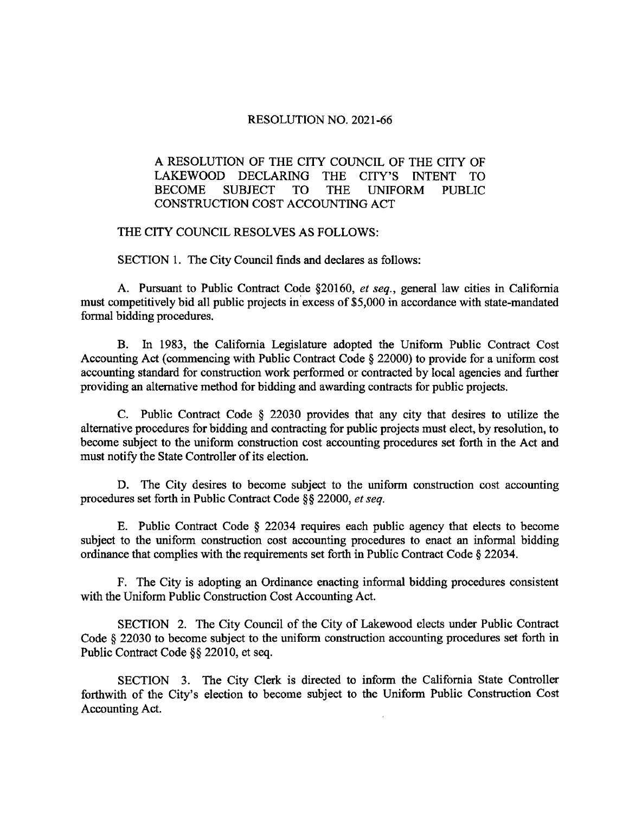## RESOLUTION NO. 2021-66

## A RESOLUTION OF THE CITY COUNCIL OF THE CITY OF LAKEWOOD DECLARING THE CITY'S INTENT TO BECOME SUBJECT TO THE UNIFORM PUBLIC CONSTRUCTION COST ACCOUNTING ACT

## THE CITY COUNCIL RESOLVES AS FOLLOWS:

SECTION 1. The City Council finds and declares as follows:

A. Pursuant to Public Contract Code § 20160, et seq., general law cities in California must competitively bid all public projects in excess of \$5,000 in accordance with state-mandated formal bidding procedures.

B. In 1983, the California Legislature adopted the Uniform Public Contract Cost Accounting Act (commencing with Public Contract Code § 22000) to provide for a uniform cost accounting standard for construction work performed or contracted by local agencies and further providing an alternative method forbidding and awarding contracts for public projects.

C. Public Contract Code § 22030 provides that any city that desires to utilize the alternative procedures for bidding and contracting for public projects must elect, by resolution, to become subject to the uniform construction cost accounting procedures set forth in the Act and must notify the State Controller of its election.

D. The City desires to become subject to the uniform construction cost accounting procedures set forth in Public Contract Code §§ 22000, et seq.

E. Public Contract Code § 22034 requires each public agency that elects to become subject to the uniform construction cost accounting procedures to enact an informal bidding ordinance that complies with the requirements set forth in Public Contract Code§ 22034.

F. The City is adopting an Ordinance enacting informal bidding procedures consistent with the Uniform Public Construction Cost Accounting Act.

SECTION 2. The City Council of the City of Lakewood elects under Public Contract Code § 22030 to become subject to the uniform construction accounting procedures set forth in Public Contract Code§§ 22010, et seq.

SECTION 3. The City Clerk is directed to inform the California State Controller forthwith of the City's election to become subject to the Uniform Public Construction Cost Accounting Act.